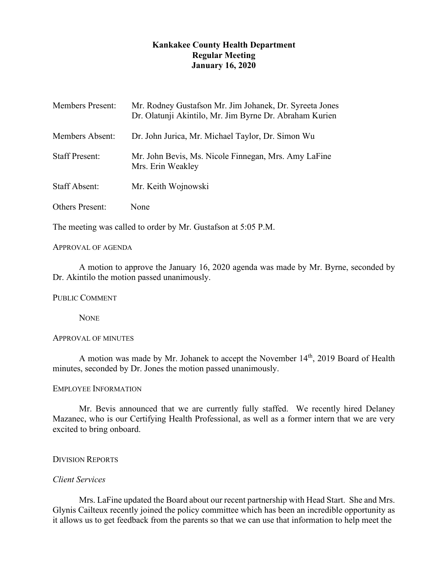# **Kankakee County Health Department Regular Meeting January 16, 2020**

| <b>Members Present:</b> | Mr. Rodney Gustafson Mr. Jim Johanek, Dr. Syreeta Jones<br>Dr. Olatunji Akintilo, Mr. Jim Byrne Dr. Abraham Kurien |
|-------------------------|--------------------------------------------------------------------------------------------------------------------|
| <b>Members Absent:</b>  | Dr. John Jurica, Mr. Michael Taylor, Dr. Simon Wu                                                                  |
| <b>Staff Present:</b>   | Mr. John Bevis, Ms. Nicole Finnegan, Mrs. Amy LaFine<br>Mrs. Erin Weakley                                          |
| <b>Staff Absent:</b>    | Mr. Keith Wojnowski                                                                                                |
| <b>Others Present:</b>  | None                                                                                                               |

The meeting was called to order by Mr. Gustafson at 5:05 P.M.

### APPROVAL OF AGENDA

A motion to approve the January 16, 2020 agenda was made by Mr. Byrne, seconded by Dr. Akintilo the motion passed unanimously.

PUBLIC COMMENT

**NONE** 

## APPROVAL OF MINUTES

A motion was made by Mr. Johanek to accept the November  $14<sup>th</sup>$ , 2019 Board of Health minutes, seconded by Dr. Jones the motion passed unanimously.

#### EMPLOYEE INFORMATION

Mr. Bevis announced that we are currently fully staffed. We recently hired Delaney Mazanec, who is our Certifying Health Professional, as well as a former intern that we are very excited to bring onboard.

# DIVISION REPORTS

### *Client Services*

Mrs. LaFine updated the Board about our recent partnership with Head Start. She and Mrs. Glynis Cailteux recently joined the policy committee which has been an incredible opportunity as it allows us to get feedback from the parents so that we can use that information to help meet the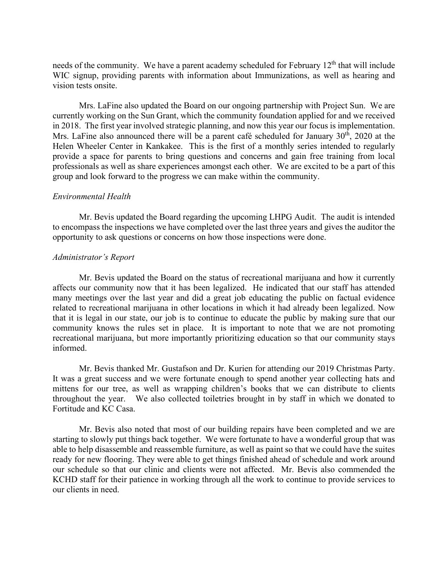needs of the community. We have a parent academy scheduled for February  $12<sup>th</sup>$  that will include WIC signup, providing parents with information about Immunizations, as well as hearing and vision tests onsite.

Mrs. LaFine also updated the Board on our ongoing partnership with Project Sun. We are currently working on the Sun Grant, which the community foundation applied for and we received in 2018. The first year involved strategic planning, and now this year our focus is implementation. Mrs. LaFine also announced there will be a parent café scheduled for January  $30<sup>th</sup>$ , 2020 at the Helen Wheeler Center in Kankakee. This is the first of a monthly series intended to regularly provide a space for parents to bring questions and concerns and gain free training from local professionals as well as share experiences amongst each other. We are excited to be a part of this group and look forward to the progress we can make within the community.

#### *Environmental Health*

Mr. Bevis updated the Board regarding the upcoming LHPG Audit. The audit is intended to encompass the inspections we have completed over the last three years and gives the auditor the opportunity to ask questions or concerns on how those inspections were done.

#### *Administrator's Report*

Mr. Bevis updated the Board on the status of recreational marijuana and how it currently affects our community now that it has been legalized. He indicated that our staff has attended many meetings over the last year and did a great job educating the public on factual evidence related to recreational marijuana in other locations in which it had already been legalized. Now that it is legal in our state, our job is to continue to educate the public by making sure that our community knows the rules set in place. It is important to note that we are not promoting recreational marijuana, but more importantly prioritizing education so that our community stays informed.

Mr. Bevis thanked Mr. Gustafson and Dr. Kurien for attending our 2019 Christmas Party. It was a great success and we were fortunate enough to spend another year collecting hats and mittens for our tree, as well as wrapping children's books that we can distribute to clients throughout the year. We also collected toiletries brought in by staff in which we donated to Fortitude and KC Casa.

Mr. Bevis also noted that most of our building repairs have been completed and we are starting to slowly put things back together. We were fortunate to have a wonderful group that was able to help disassemble and reassemble furniture, as well as paint so that we could have the suites ready for new flooring. They were able to get things finished ahead of schedule and work around our schedule so that our clinic and clients were not affected. Mr. Bevis also commended the KCHD staff for their patience in working through all the work to continue to provide services to our clients in need.